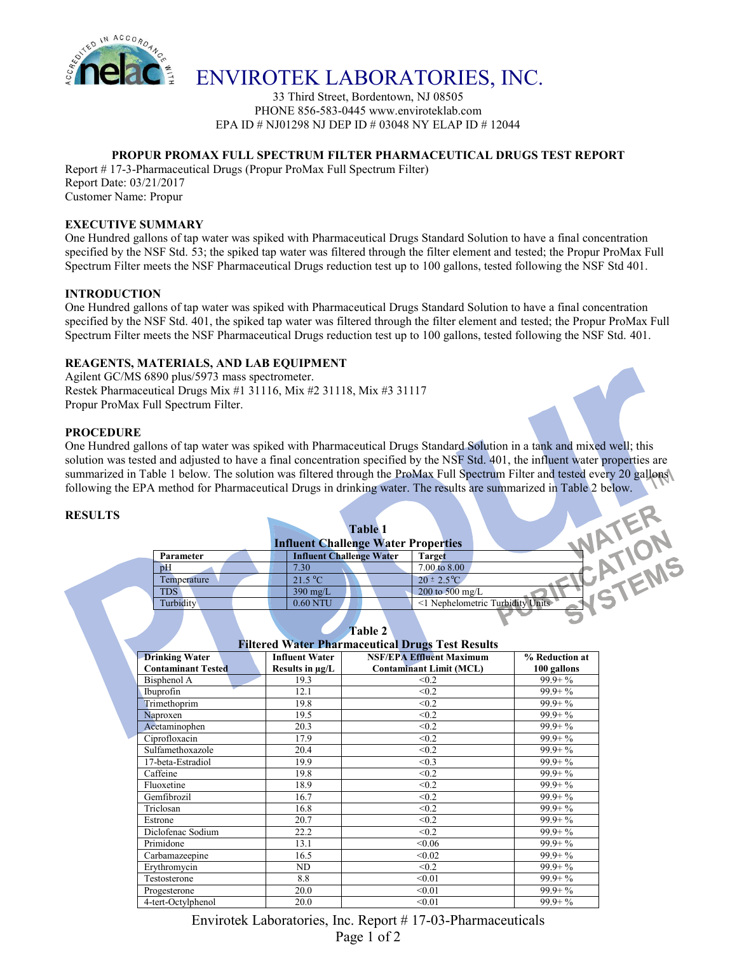

# ENVIROTEK LABORATORIES, INC.

33 Third Street, Bordentown, NJ 08505 PHONE 856-583-0445 www.enviroteklab.com EPA ID # NJ01298 NJ DEP ID # 03048 NY ELAP ID # 12044

#### **PROPUR PROMAX FULL SPECTRUM FILTER PHARMACEUTICAL DRUGS TEST REPORT**

Report # 17-3-Pharmaceutical Drugs (Propur ProMax Full Spectrum Filter)

Report Date: 03/21/2017 Customer Name: Propur

#### **EXECUTIVE SUMMARY**

One Hundred gallons of tap water was spiked with Pharmaceutical Drugs Standard Solution to have a final concentration specified by the NSF Std. 53; the spiked tap water was filtered through the filter element and tested; the Propur ProMax Full Spectrum Filter meets the NSF Pharmaceutical Drugs reduction test up to 100 gallons, tested following the NSF Std 401.

## **INTRODUCTION**

One Hundred gallons of tap water was spiked with Pharmaceutical Drugs Standard Solution to have a final concentration specified by the NSF Std. 401, the spiked tap water was filtered through the filter element and tested; the Propur ProMax Full Spectrum Filter meets the NSF Pharmaceutical Drugs reduction test up to 100 gallons, tested following the NSF Std. 401.

## **REAGENTS, MATERIALS, AND LAB EQUIPMENT**

Agilent GC/MS 6890 plus/5973 mass spectrometer. Restek Pharmaceutical Drugs Mix #1 31116, Mix #2 31118, Mix #3 31117 Propur ProMax Full Spectrum Filter.

#### **PROCEDURE**

One Hundred gallons of tap water was spiked with Pharmaceutical Drugs Standard Solution in a tank and mixed well; this solution was tested and adjusted to have a final concentration specified by the NSF Std. 401, the influent water properties are summarized in Table 1 below. The solution was filtered through the ProMax Full Spectrum Filter and tested every 20 gallons following the EPA method for Pharmaceutical Drugs in drinking water. The results are summarized in Table 2 below.

#### **RESULTS**

|             | <b>Influent Challenge Water Properties</b> | <b>Table 1</b>                  |                                  |  |
|-------------|--------------------------------------------|---------------------------------|----------------------------------|--|
| Parameter   |                                            | <b>Influent Challenge Water</b> | Target                           |  |
| pH          | 7.30                                       |                                 | 7.00 to 8.00                     |  |
| Temperature | 21.5 °C                                    |                                 | $20 \pm 2.5^{\circ}C$            |  |
| <b>TDS</b>  | $390 \text{ mg/L}$                         |                                 | 200 to 500 mg/L                  |  |
| Turbidity   | 0.60 NTU                                   |                                 | <1 Nephelometric Turbidity Units |  |
|             |                                            |                                 |                                  |  |

Q



| <u>Filtered</u> Water Fharmaceutical Drugs Test Results |                       |                                 |                |  |  |  |  |
|---------------------------------------------------------|-----------------------|---------------------------------|----------------|--|--|--|--|
| <b>Drinking Water</b>                                   | <b>Influent Water</b> | <b>NSF/EPA Effluent Maximum</b> | % Reduction at |  |  |  |  |
| <b>Contaminant Tested</b>                               | Results in µg/L       | <b>Contaminant Limit (MCL)</b>  | 100 gallons    |  |  |  |  |
| Bisphenol A                                             | 19.3                  | < 0.2                           | $99.9 + \%$    |  |  |  |  |
| Ibuprofin                                               | 12.1                  | < 0.2                           | $99.9 + \%$    |  |  |  |  |
| Trimethoprim                                            | 19.8                  | < 0.2                           | $99.9 + \%$    |  |  |  |  |
| Naproxen                                                | 19.5                  | < 0.2                           | $99.9 + \%$    |  |  |  |  |
| Acetaminophen                                           | 20.3                  | < 0.2                           | $99.9 + \%$    |  |  |  |  |
| Ciprofloxacin                                           | 17.9                  | < 0.2                           | $99.9 + \%$    |  |  |  |  |
| Sulfamethoxazole                                        | 20.4                  | < 0.2                           | $99.9 + \%$    |  |  |  |  |
| 17-beta-Estradiol                                       | 19.9                  | < 0.3                           | $99.9 + \%$    |  |  |  |  |
| Caffeine                                                | 19.8                  | < 0.2                           | $99.9 + \%$    |  |  |  |  |
| Fluoxetine                                              | 18.9                  | < 0.2                           | $99.9 + \%$    |  |  |  |  |
| Gemfibrozil                                             | 16.7                  | < 0.2                           | $99.9 + \%$    |  |  |  |  |
| Triclosan                                               | 16.8                  | < 0.2                           | $99.9 + \%$    |  |  |  |  |
| Estrone                                                 | 20.7                  | < 0.2                           | $99.9 + \%$    |  |  |  |  |
| Diclofenac Sodium                                       | 22.2                  | < 0.2                           | $99.9 + \%$    |  |  |  |  |
| Primidone                                               | 13.1                  | < 0.06                          | $99.9 + \%$    |  |  |  |  |
| Carbamazeepine                                          | 16.5                  | < 0.02                          | $99.9 + \%$    |  |  |  |  |
| Erythromycin                                            | ND                    | < 0.2                           | $99.9 + \%$    |  |  |  |  |
| Testosterone                                            | 8.8                   | < 0.01                          | $99.9 + \%$    |  |  |  |  |
| Progesterone                                            | 20.0                  | < 0.01                          | $99.9 + \%$    |  |  |  |  |
| 4-tert-Octylphenol                                      | 20.0                  | < 0.01                          | $99.9 + \%$    |  |  |  |  |

**Filtered Water Pharmaceutical Drugs Test Results**

Envirotek Laboratories, Inc. Report # 17-03-Pharmaceuticals Page 1 of 2